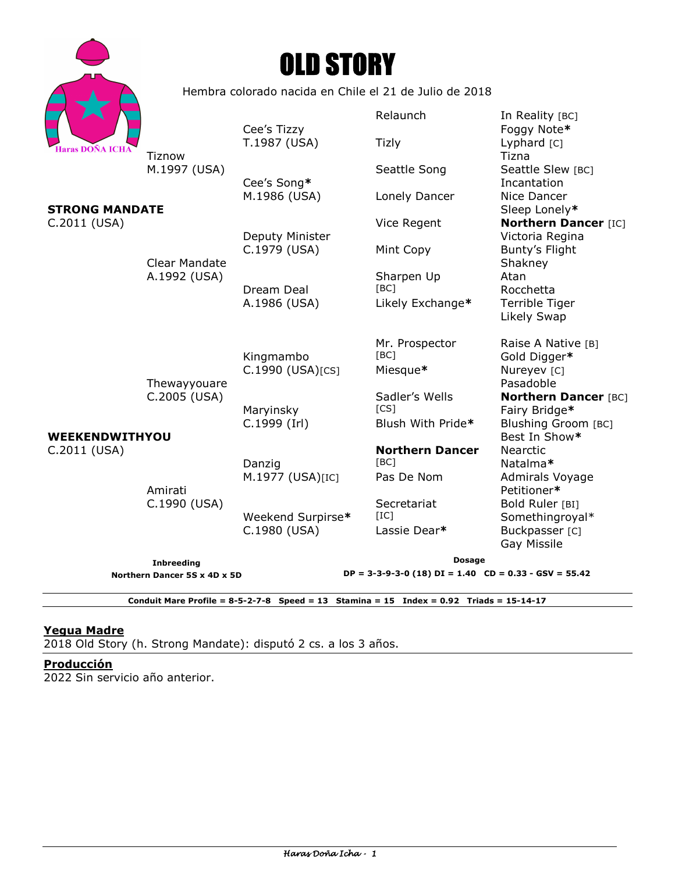| Haras DOÑA ICHA |
|-----------------|



Hembra colorado nacida en Chile el 21 de Julio de 2018

Relaunch In Reality [BC] Cee's Tizzy **Foggy** Note\* T.1987 (USA) Tizly Chard [C] <u>Tiznow</u> Tiznow **Tiznow** Tiznow Tiznow **Tiznow** M.1997 (USA) Seattle Song Seattle Song Seattle Slew [BC] Cee's Song**\*** Incantation M.1986 (USA) Lonely Dancer Nice Dancer **STRONG MANDATE** SIDE AND **STRONG MANDATE** SIDE AND **SIDE AND A SIDE AND A SIDE AND A SIDE A** SIDE AND **SIDE A** SIDE A SIDE AND **SIDE A** SIDE A SIDE A SIDE AND **SIDE A** SIDE A SIDE A SIDE A SIDE A SIDE A SIDE A SIDE A SIDE C.2011 (USA) Vice Regent **Northern Dancer** [IC] Deputy Minister **Victoria Regina** C.1979 (USA) Mint Copy Bunty's Flight Clear Mandate Shakney A.1992 (USA) Sharpen Up Atan Dream Deal [BC] [BC] Rocchetta A.1986 (USA) Likely Exchange**\*** Terrible Tiger Likely Swap Mr. Prospector Raise A Native [B] Kingmambo [BC] Gold Digger**\*** C.1990 (USA)[CS] Miesque**\*** Nureyev [C] Thewayyouare **Pasadoble** Pasadoble C.2005 (USA) Sadler's Wells **Northern Dancer** [BC] Maryinsky **[CS]** Fairy Bridge\* C.1999 (Irl) Blush With Pride**\*** Blushing Groom [BC] **WEEKENDWITHYOU**  Best In Show\* C.2011 (USA) **Northern Dancer** Nearctic Danzig [BC] Natalma**\*** M.1977 (USA)[IC] Pas De Nom Admirals Voyage Amirati Petitioner**\*** C.1990 (USA) Secretariat Bold Ruler [BI] Weekend Surpirse\* [IC] Somethingroyal\* C.1980 (USA) Lassie Dear<sup>\*</sup> Buckpasser [C] Gay Missile **Inbreeding Dosage DP = 3-3-9-3-0 (18) DI = 1.40 CD = 0.33 - GSV = 55.42** 

**Northern Dancer 5S x 4D x 5D** 

**Conduit Mare Profile = 8-5-2-7-8 Speed = 13 Stamina = 15 Index = 0.92 Triads = 15-14-17** 

# **Yegua Madre**

2018 Old Story (h. Strong Mandate): disputó 2 cs. a los 3 años.

### **Producción**

2022 Sin servicio año anterior.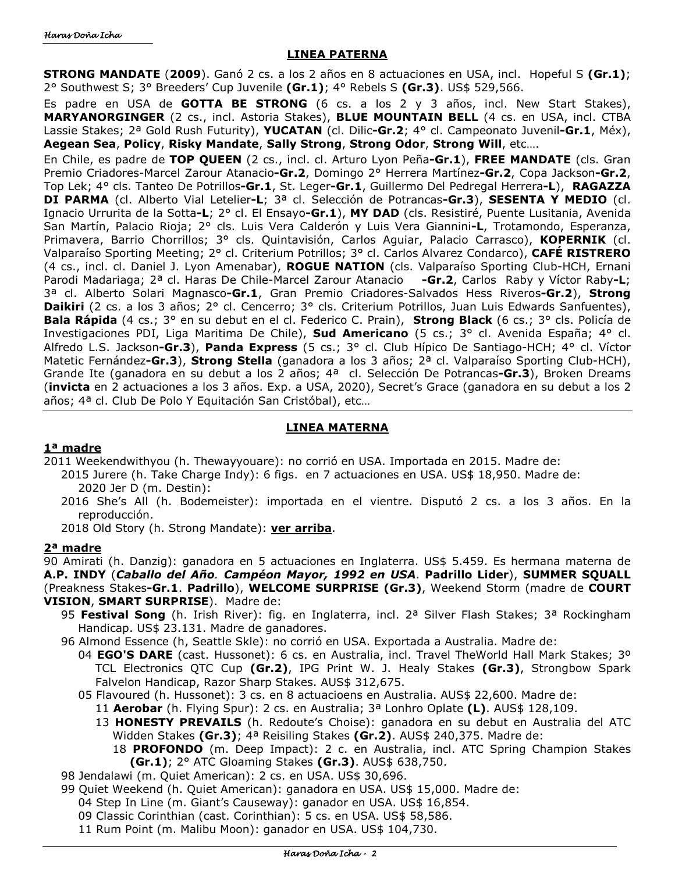## **LINEA PATERNA**

**STRONG MANDATE** (**2009**). Ganó 2 cs. a los 2 años en 8 actuaciones en USA, incl. Hopeful S **(Gr.1)**; 2° Southwest S; 3° Breeders' Cup Juvenile **(Gr.1)**; 4° Rebels S **(Gr.3)**. US\$ 529,566.

Es padre en USA de **GOTTA BE STRONG** (6 cs. a los 2 y 3 años, incl. New Start Stakes), **MARYANORGINGER** (2 cs., incl. Astoria Stakes), **BLUE MOUNTAIN BELL** (4 cs. en USA, incl. CTBA Lassie Stakes; 2ª Gold Rush Futurity), **YUCATAN** (cl. Dilic**-Gr.2**; 4° cl. Campeonato Juvenil**-Gr.1**, Méx), **Aegean Sea**, **Policy**, **Risky Mandate**, **Sally Strong**, **Strong Odor**, **Strong Will**, etc….

En Chile, es padre de **TOP QUEEN** (2 cs., incl. cl. Arturo Lyon Peña**-Gr.1**), **FREE MANDATE** (cls. Gran Premio Criadores-Marcel Zarour Atanacio**-Gr.2**, Domingo 2° Herrera Martínez**-Gr.2**, Copa Jackson**-Gr.2**, Top Lek; 4° cls. Tanteo De Potrillos**-Gr.1**, St. Leger**-Gr.1**, Guillermo Del Pedregal Herrera**-L**), **RAGAZZA DI PARMA** (cl. Alberto Vial Letelier**-L**; 3ª cl. Selección de Potrancas**-Gr.3**), **SESENTA Y MEDIO** (cl. Ignacio Urrurita de la Sotta**-L**; 2° cl. El Ensayo**-Gr.1**), **MY DAD** (cls. Resistiré, Puente Lusitania, Avenida San Martín, Palacio Rioja; 2° cls. Luis Vera Calderón y Luis Vera Giannini**-L**, Trotamondo, Esperanza, Primavera, Barrio Chorrillos; 3° cls. Quintavisión, Carlos Aguiar, Palacio Carrasco), **KOPERNIK** (cl. Valparaíso Sporting Meeting; 2° cl. Criterium Potrillos; 3° cl. Carlos Alvarez Condarco), **CAFÉ RISTRERO** (4 cs., incl. cl. Daniel J. Lyon Amenabar), **ROGUE NATION** (cls. Valparaíso Sporting Club-HCH, Ernani Parodi Madariaga; 2ª cl. Haras De Chile-Marcel Zarour Atanacio **-Gr.2**, Carlos Raby y Víctor Raby**-L**; 3ª cl. Alberto Solari Magnasco**-Gr.1**, Gran Premio Criadores-Salvados Hess Riveros**-Gr.2**), **Strong Daikiri** (2 cs. a los 3 años; 2° cl. Cencerro; 3° cls. Criterium Potrillos, Juan Luis Edwards Sanfuentes), **Bala Rápida** (4 cs.; 3° en su debut en el cl. Federico C. Prain), **Strong Black** (6 cs.; 3° cls. Policía de Investigaciones PDI, Liga Maritima De Chile), **Sud Americano** (5 cs.; 3° cl. Avenida España; 4° cl. Alfredo L.S. Jackson**-Gr.3**), **Panda Express** (5 cs.; 3° cl. Club Hípico De Santiago-HCH; 4° cl. Víctor Matetic Fernández**-Gr.3**), **Strong Stella** (ganadora a los 3 años; 2ª cl. Valparaíso Sporting Club-HCH), Grande Ite (ganadora en su debut a los 2 años; 4ª cl. Selección De Potrancas**-Gr.3**), Broken Dreams (**invicta** en 2 actuaciones a los 3 años. Exp. a USA, 2020), Secret's Grace (ganadora en su debut a los 2 años; 4ª cl. Club De Polo Y Equitación San Cristóbal), etc…

## **LINEA MATERNA**

### **1ª madre**

2011 Weekendwithyou (h. Thewayyouare): no corrió en USA. Importada en 2015. Madre de:

- 2015 Jurere (h. Take Charge Indy): 6 figs. en 7 actuaciones en USA. US\$ 18,950. Madre de: 2020 Jer D (m. Destin):
- 2016 She's All (h. Bodemeister): importada en el vientre. Disputó 2 cs. a los 3 años. En la reproducción.
- 2018 Old Story (h. Strong Mandate): **ver arriba**.

# **2ª madre**

90 Amirati (h. Danzig): ganadora en 5 actuaciones en Inglaterra. US\$ 5.459. Es hermana materna de **A.P. INDY** (*Caballo del Año. Campéon Mayor, 1992 en USA*. **Padrillo Lider**), **SUMMER SQUALL**  (Preakness Stakes**-Gr.1**. **Padrillo**), **WELCOME SURPRISE (Gr.3)**, Weekend Storm (madre de **COURT VISION**, **SMART SURPRISE**). Madre de:

- 95 **Festival Song** (h. Irish River): fig. en Inglaterra, incl. 2ª Silver Flash Stakes; 3ª Rockingham Handicap. US\$ 23.131. Madre de ganadores.
- 96 Almond Essence (h, Seattle Skle): no corrió en USA. Exportada a Australia. Madre de:
	- 04 **EGO'S DARE** (cast. Hussonet): 6 cs. en Australia, incl. Travel TheWorld Hall Mark Stakes; 3º TCL Electronics QTC Cup **(Gr.2)**, IPG Print W. J. Healy Stakes **(Gr.3)**, Strongbow Spark Falvelon Handicap, Razor Sharp Stakes. AUS\$ 312,675.
	- 05 Flavoured (h. Hussonet): 3 cs. en 8 actuacioens en Australia. AUS\$ 22,600. Madre de:
		- 11 **Aerobar** (h. Flying Spur): 2 cs. en Australia; 3ª Lonhro Oplate **(L)**. AUS\$ 128,109.
		- 13 **HONESTY PREVAILS** (h. Redoute's Choise): ganadora en su debut en Australia del ATC Widden Stakes **(Gr.3)**; 4ª Reisiling Stakes **(Gr.2)**. AUS\$ 240,375. Madre de:
			- 18 **PROFONDO** (m. Deep Impact): 2 c. en Australia, incl. ATC Spring Champion Stakes **(Gr.1)**; 2° ATC Gloaming Stakes **(Gr.3)**. AUS\$ 638,750.
- 98 Jendalawi (m. Quiet American): 2 cs. en USA. US\$ 30,696.
- 99 Quiet Weekend (h. Quiet American): ganadora en USA. US\$ 15,000. Madre de:
	- 04 Step In Line (m. Giant's Causeway): ganador en USA. US\$ 16,854.
	- 09 Classic Corinthian (cast. Corinthian): 5 cs. en USA. US\$ 58,586.
	- 11 Rum Point (m. Malibu Moon): ganador en USA. US\$ 104,730.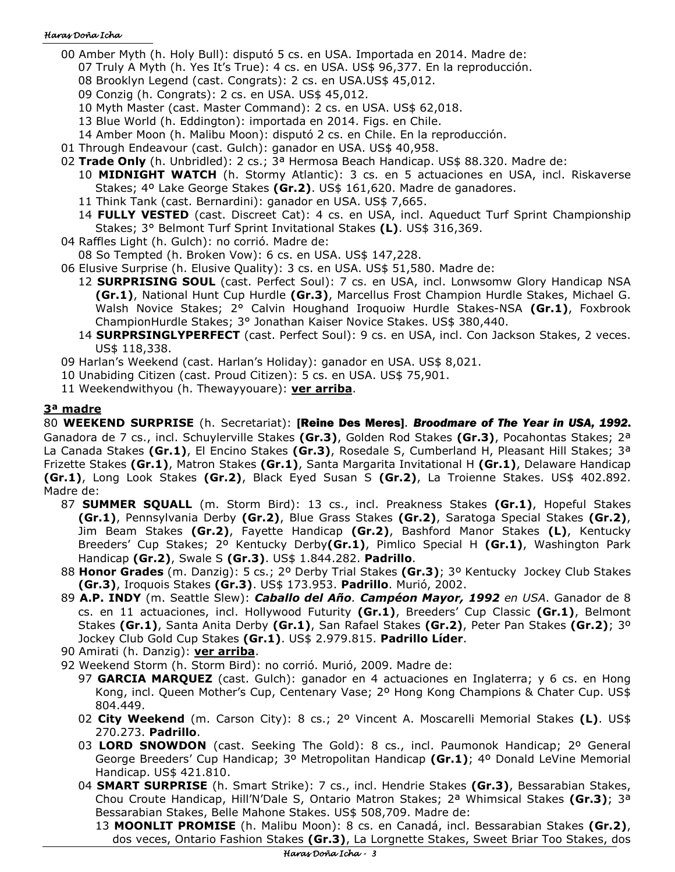- 00 Amber Myth (h. Holy Bull): disputó 5 cs. en USA. Importada en 2014. Madre de:
	- 07 Truly A Myth (h. Yes It's True): 4 cs. en USA. US\$ 96,377. En la reproducción.
	- 08 Brooklyn Legend (cast. Congrats): 2 cs. en USA.US\$ 45,012.
	- 09 Conzig (h. Congrats): 2 cs. en USA. US\$ 45,012.
	- 10 Myth Master (cast. Master Command): 2 cs. en USA. US\$ 62,018.
	- 13 Blue World (h. Eddington): importada en 2014. Figs. en Chile.
	- 14 Amber Moon (h. Malibu Moon): disputó 2 cs. en Chile. En la reproducción.
- 01 Through Endeavour (cast. Gulch): ganador en USA. US\$ 40,958.
- 02 **Trade Only** (h. Unbridled): 2 cs.; 3ª Hermosa Beach Handicap. US\$ 88.320. Madre de:
	- 10 **MIDNIGHT WATCH** (h. Stormy Atlantic): 3 cs. en 5 actuaciones en USA, incl. Riskaverse Stakes; 4º Lake George Stakes **(Gr.2)**. US\$ 161,620. Madre de ganadores.
	- 11 Think Tank (cast. Bernardini): ganador en USA. US\$ 7,665.
	- 14 **FULLY VESTED** (cast. Discreet Cat): 4 cs. en USA, incl. Aqueduct Turf Sprint Championship Stakes; 3° Belmont Turf Sprint Invitational Stakes **(L)**. US\$ 316,369.
- 04 Raffles Light (h. Gulch): no corrió. Madre de:
- 08 So Tempted (h. Broken Vow): 6 cs. en USA. US\$ 147,228.
- 06 Elusive Surprise (h. Elusive Quality): 3 cs. en USA. US\$ 51,580. Madre de:
	- 12 **SURPRISING SOUL** (cast. Perfect Soul): 7 cs. en USA, incl. Lonwsomw Glory Handicap NSA **(Gr.1)**, National Hunt Cup Hurdle **(Gr.3)**, Marcellus Frost Champion Hurdle Stakes, Michael G. Walsh Novice Stakes; 2° Calvin Houghand Iroquoiw Hurdle Stakes-NSA **(Gr.1)**, Foxbrook ChampionHurdle Stakes; 3° Jonathan Kaiser Novice Stakes. US\$ 380,440.
	- 14 **SURPRSINGLYPERFECT** (cast. Perfect Soul): 9 cs. en USA, incl. Con Jackson Stakes, 2 veces. US\$ 118,338.
- 09 Harlan's Weekend (cast. Harlan's Holiday): ganador en USA. US\$ 8,021.
- 10 Unabiding Citizen (cast. Proud Citizen): 5 cs. en USA. US\$ 75,901.
- 11 Weekendwithyou (h. Thewayyouare): **ver arriba**.

# **3ª madre**

80 **WEEKEND SURPRISE** (h. Secretariat): [Reine Des Meres]. *Broodmare of The Year in USA, 1992*. Ganadora de 7 cs., incl. Schuylerville Stakes **(Gr.3)**, Golden Rod Stakes **(Gr.3)**, Pocahontas Stakes; 2ª La Canada Stakes **(Gr.1)**, El Encino Stakes **(Gr.3)**, Rosedale S, Cumberland H, Pleasant Hill Stakes; 3ª Frizette Stakes **(Gr.1)**, Matron Stakes **(Gr.1)**, Santa Margarita Invitational H **(Gr.1)**, Delaware Handicap **(Gr.1)**, Long Look Stakes **(Gr.2)**, Black Eyed Susan S **(Gr.2)**, La Troienne Stakes. US\$ 402.892. Madre de:

- 87 **SUMMER SQUALL** (m. Storm Bird): 13 cs., incl. Preakness Stakes **(Gr.1)**, Hopeful Stakes **(Gr.1)**, Pennsylvania Derby **(Gr.2)**, Blue Grass Stakes **(Gr.2)**, Saratoga Special Stakes **(Gr.2)**, Jim Beam Stakes **(Gr.2)**, Fayette Handicap **(Gr.2)**, Bashford Manor Stakes **(L)**, Kentucky Breeders' Cup Stakes; 2º Kentucky Derby**(Gr.1)**, Pimlico Special H **(Gr.1)**, Washington Park Handicap **(Gr.2)**, Swale S **(Gr.3)**. US\$ 1.844.282. **Padrillo**.
- 88 **Honor Grades** (m. Danzig): 5 cs.; 2º Derby Trial Stakes **(Gr.3)**; 3º Kentucky Jockey Club Stakes **(Gr.3)**, Iroquois Stakes **(Gr.3)**. US\$ 173.953. **Padrillo**. Murió, 2002.
- 89 **A.P. INDY** (m. Seattle Slew): *Caballo del Año. Campéon Mayor, 1992 en USA*. Ganador de 8 cs. en 11 actuaciones, incl. Hollywood Futurity **(Gr.1)**, Breeders' Cup Classic **(Gr.1)**, Belmont Stakes **(Gr.1)**, Santa Anita Derby **(Gr.1)**, San Rafael Stakes **(Gr.2)**, Peter Pan Stakes **(Gr.2)**; 3º Jockey Club Gold Cup Stakes **(Gr.1)**. US\$ 2.979.815. **Padrillo Líder**.
- 90 Amirati (h. Danzig): **ver arriba**.
- 92 Weekend Storm (h. Storm Bird): no corrió. Murió, 2009. Madre de:
	- 97 **GARCIA MARQUEZ** (cast. Gulch): ganador en 4 actuaciones en Inglaterra; y 6 cs. en Hong Kong, incl. Queen Mother's Cup, Centenary Vase; 2º Hong Kong Champions & Chater Cup. US\$ 804.449.
	- 02 **City Weekend** (m. Carson City): 8 cs.; 2º Vincent A. Moscarelli Memorial Stakes **(L)**. US\$ 270.273. **Padrillo**.
	- 03 **LORD SNOWDON** (cast. Seeking The Gold): 8 cs., incl. Paumonok Handicap; 2º General George Breeders' Cup Handicap; 3º Metropolitan Handicap **(Gr.1)**; 4º Donald LeVine Memorial Handicap. US\$ 421.810.
	- 04 **SMART SURPRISE** (h. Smart Strike): 7 cs., incl. Hendrie Stakes **(Gr.3)**, Bessarabian Stakes, Chou Croute Handicap, Hill'N'Dale S, Ontario Matron Stakes; 2ª Whimsical Stakes **(Gr.3)**; 3ª Bessarabian Stakes, Belle Mahone Stakes. US\$ 508,709. Madre de:

13 **MOONLIT PROMISE** (h. Malibu Moon): 8 cs. en Canadá, incl. Bessarabian Stakes **(Gr.2)**, dos veces, Ontario Fashion Stakes **(Gr.3)**, La Lorgnette Stakes, Sweet Briar Too Stakes, dos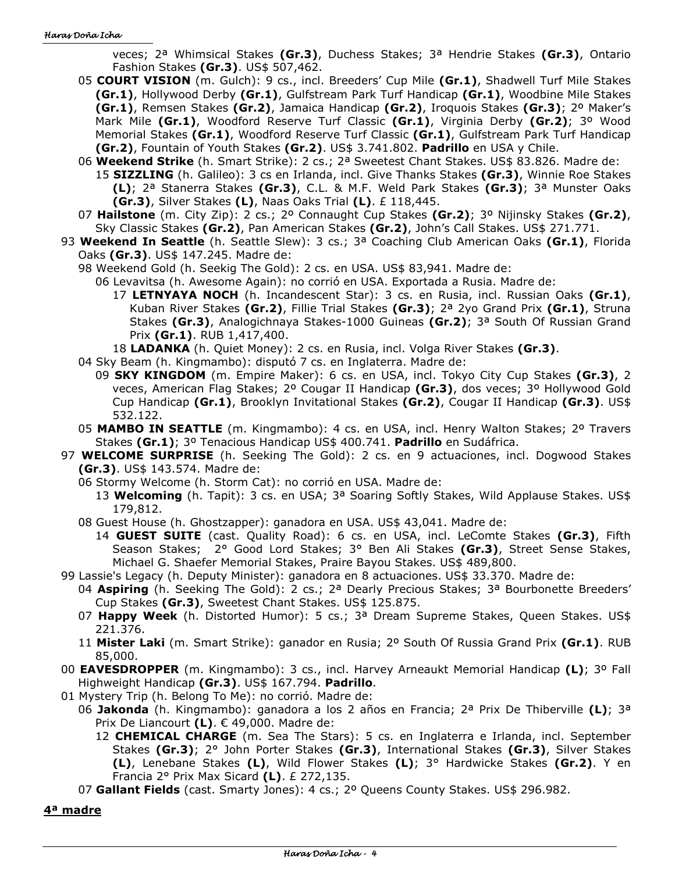veces; 2ª Whimsical Stakes **(Gr.3)**, Duchess Stakes; 3ª Hendrie Stakes **(Gr.3)**, Ontario Fashion Stakes **(Gr.3)**. US\$ 507,462.

- 05 **COURT VISION** (m. Gulch): 9 cs., incl. Breeders' Cup Mile **(Gr.1)**, Shadwell Turf Mile Stakes **(Gr.1)**, Hollywood Derby **(Gr.1)**, Gulfstream Park Turf Handicap **(Gr.1)**, Woodbine Mile Stakes **(Gr.1)**, Remsen Stakes **(Gr.2)**, Jamaica Handicap **(Gr.2)**, Iroquois Stakes **(Gr.3)**; 2º Maker's Mark Mile **(Gr.1)**, Woodford Reserve Turf Classic **(Gr.1)**, Virginia Derby **(Gr.2)**; 3º Wood Memorial Stakes **(Gr.1)**, Woodford Reserve Turf Classic **(Gr.1)**, Gulfstream Park Turf Handicap **(Gr.2)**, Fountain of Youth Stakes **(Gr.2)**. US\$ 3.741.802. **Padrillo** en USA y Chile.
- 06 **Weekend Strike** (h. Smart Strike): 2 cs.; 2ª Sweetest Chant Stakes. US\$ 83.826. Madre de: 15 **SIZZLING** (h. Galileo): 3 cs en Irlanda, incl. Give Thanks Stakes **(Gr.3)**, Winnie Roe Stakes **(L)**; 2ª Stanerra Stakes **(Gr.3)**, C.L. & M.F. Weld Park Stakes **(Gr.3)**; 3ª Munster Oaks **(Gr.3)**, Silver Stakes **(L)**, Naas Oaks Trial **(L)**. £ 118,445.
- 07 **Hailstone** (m. City Zip): 2 cs.; 2º Connaught Cup Stakes **(Gr.2)**; 3º Nijinsky Stakes **(Gr.2)**, Sky Classic Stakes **(Gr.2)**, Pan American Stakes **(Gr.2)**, John's Call Stakes. US\$ 271.771.
- 93 **Weekend In Seattle** (h. Seattle Slew): 3 cs.; 3ª Coaching Club American Oaks **(Gr.1)**, Florida Oaks **(Gr.3)**. US\$ 147.245. Madre de:
	- 98 Weekend Gold (h. Seekig The Gold): 2 cs. en USA. US\$ 83,941. Madre de:
		- 06 Levavitsa (h. Awesome Again): no corrió en USA. Exportada a Rusia. Madre de:
			- 17 **LETNYAYA NOCH** (h. Incandescent Star): 3 cs. en Rusia, incl. Russian Oaks **(Gr.1)**, Kuban River Stakes **(Gr.2)**, Fillie Trial Stakes **(Gr.3)**; 2ª 2yo Grand Prix **(Gr.1)**, Struna Stakes **(Gr.3)**, Analogichnaya Stakes-1000 Guineas **(Gr.2)**; 3ª South Of Russian Grand Prix **(Gr.1)**. RUB 1,417,400.

18 **LADANKA** (h. Quiet Money): 2 cs. en Rusia, incl. Volga River Stakes **(Gr.3)**.

- 04 Sky Beam (h. Kingmambo): disputó 7 cs. en Inglaterra. Madre de:
	- 09 **SKY KINGDOM** (m. Empire Maker): 6 cs. en USA, incl. Tokyo City Cup Stakes **(Gr.3)**, 2 veces, American Flag Stakes; 2º Cougar II Handicap **(Gr.3)**, dos veces; 3º Hollywood Gold Cup Handicap **(Gr.1)**, Brooklyn Invitational Stakes **(Gr.2)**, Cougar II Handicap **(Gr.3)**. US\$ 532.122.
- 05 **MAMBO IN SEATTLE** (m. Kingmambo): 4 cs. en USA, incl. Henry Walton Stakes; 2º Travers Stakes **(Gr.1)**; 3º Tenacious Handicap US\$ 400.741. **Padrillo** en Sudáfrica.
- 97 **WELCOME SURPRISE** (h. Seeking The Gold): 2 cs. en 9 actuaciones, incl. Dogwood Stakes **(Gr.3)**. US\$ 143.574. Madre de:
	- 06 Stormy Welcome (h. Storm Cat): no corrió en USA. Madre de:
		- 13 **Welcoming** (h. Tapit): 3 cs. en USA; 3ª Soaring Softly Stakes, Wild Applause Stakes. US\$ 179,812.
	- 08 Guest House (h. Ghostzapper): ganadora en USA. US\$ 43,041. Madre de:
		- 14 **GUEST SUITE** (cast. Quality Road): 6 cs. en USA, incl. LeComte Stakes **(Gr.3)**, Fifth Season Stakes; 2° Good Lord Stakes; 3° Ben Ali Stakes **(Gr.3)**, Street Sense Stakes, Michael G. Shaefer Memorial Stakes, Praire Bayou Stakes. US\$ 489,800.
- 99 Lassie's Legacy (h. Deputy Minister): ganadora en 8 actuaciones. US\$ 33.370. Madre de:
	- 04 **Aspiring** (h. Seeking The Gold): 2 cs.; 2ª Dearly Precious Stakes; 3ª Bourbonette Breeders' Cup Stakes **(Gr.3)**, Sweetest Chant Stakes. US\$ 125.875.
	- 07 **Happy Week** (h. Distorted Humor): 5 cs.; 3ª Dream Supreme Stakes, Queen Stakes. US\$ 221.376.
	- 11 **Mister Laki** (m. Smart Strike): ganador en Rusia; 2º South Of Russia Grand Prix **(Gr.1)**. RUB 85,000.
- 00 **EAVESDROPPER** (m. Kingmambo): 3 cs., incl. Harvey Arneaukt Memorial Handicap **(L)**; 3º Fall Highweight Handicap **(Gr.3)**. US\$ 167.794. **Padrillo**.
- 01 Mystery Trip (h. Belong To Me): no corrió. Madre de:
	- 06 **Jakonda** (h. Kingmambo): ganadora a los 2 años en Francia; 2ª Prix De Thiberville **(L)**; 3ª Prix De Liancourt **(L)**. € 49,000. Madre de:
		- 12 **CHEMICAL CHARGE** (m. Sea The Stars): 5 cs. en Inglaterra e Irlanda, incl. September Stakes **(Gr.3)**; 2° John Porter Stakes **(Gr.3)**, International Stakes **(Gr.3)**, Silver Stakes **(L)**, Lenebane Stakes **(L)**, Wild Flower Stakes **(L)**; 3° Hardwicke Stakes **(Gr.2)**. Y en Francia 2° Prix Max Sicard **(L)**. £ 272,135.
	- 07 **Gallant Fields** (cast. Smarty Jones): 4 cs.; 2º Queens County Stakes. US\$ 296.982.

**4ª madre**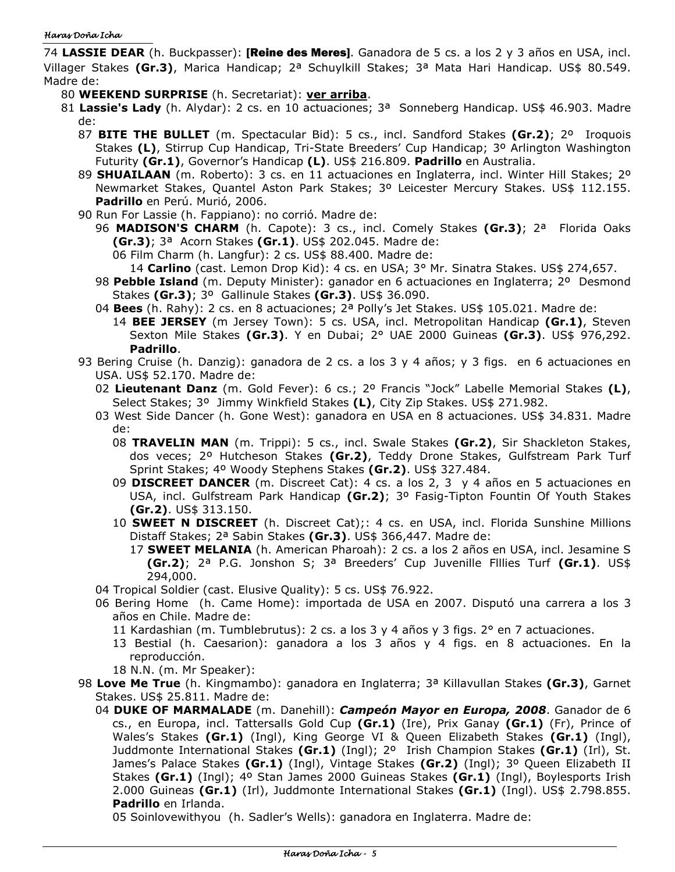74 **LASSIE DEAR** (h. Buckpasser): [Reine des Meres]. Ganadora de 5 cs. a los 2 y 3 años en USA, incl. Villager Stakes **(Gr.3)**, Marica Handicap; 2ª Schuylkill Stakes; 3ª Mata Hari Handicap. US\$ 80.549. Madre de:

- 80 **WEEKEND SURPRISE** (h. Secretariat): **ver arriba**.
- 81 **Lassie's Lady** (h. Alydar): 2 cs. en 10 actuaciones; 3ª Sonneberg Handicap. US\$ 46.903. Madre de:
	- 87 **BITE THE BULLET** (m. Spectacular Bid): 5 cs., incl. Sandford Stakes **(Gr.2)**; 2º Iroquois Stakes **(L)**, Stirrup Cup Handicap, Tri-State Breeders' Cup Handicap; 3º Arlington Washington Futurity **(Gr.1)**, Governor's Handicap **(L)**. US\$ 216.809. **Padrillo** en Australia.
	- 89 **SHUAILAAN** (m. Roberto): 3 cs. en 11 actuaciones en Inglaterra, incl. Winter Hill Stakes; 2º Newmarket Stakes, Quantel Aston Park Stakes; 3º Leicester Mercury Stakes. US\$ 112.155. **Padrillo** en Perú. Murió, 2006.
	- 90 Run For Lassie (h. Fappiano): no corrió. Madre de:
		- 96 **MADISON'S CHARM** (h. Capote): 3 cs., incl. Comely Stakes **(Gr.3)**; 2ª Florida Oaks **(Gr.3)**; 3ª Acorn Stakes **(Gr.1)**. US\$ 202.045. Madre de:
			- 06 Film Charm (h. Langfur): 2 cs. US\$ 88.400. Madre de:
			- 14 **Carlino** (cast. Lemon Drop Kid): 4 cs. en USA; 3° Mr. Sinatra Stakes. US\$ 274,657.
		- 98 **Pebble Island** (m. Deputy Minister): ganador en 6 actuaciones en Inglaterra; 2º Desmond Stakes **(Gr.3)**; 3º Gallinule Stakes **(Gr.3)**. US\$ 36.090.
		- 04 **Bees** (h. Rahy): 2 cs. en 8 actuaciones; 2ª Polly's Jet Stakes. US\$ 105.021. Madre de:
		- 14 **BEE JERSEY** (m Jersey Town): 5 cs. USA, incl. Metropolitan Handicap **(Gr.1)**, Steven Sexton Mile Stakes **(Gr.3)**. Y en Dubai; 2° UAE 2000 Guineas **(Gr.3)**. US\$ 976,292. **Padrillo**.
	- 93 Bering Cruise (h. Danzig): ganadora de 2 cs. a los 3 y 4 años; y 3 figs. en 6 actuaciones en USA. US\$ 52.170. Madre de:
		- 02 **Lieutenant Danz** (m. Gold Fever): 6 cs.; 2º Francis "Jock" Labelle Memorial Stakes **(L)**, Select Stakes; 3º Jimmy Winkfield Stakes **(L)**, City Zip Stakes. US\$ 271.982.
		- 03 West Side Dancer (h. Gone West): ganadora en USA en 8 actuaciones. US\$ 34.831. Madre de:
			- 08 **TRAVELIN MAN** (m. Trippi): 5 cs., incl. Swale Stakes **(Gr.2)**, Sir Shackleton Stakes, dos veces; 2º Hutcheson Stakes **(Gr.2)**, Teddy Drone Stakes, Gulfstream Park Turf Sprint Stakes; 4º Woody Stephens Stakes **(Gr.2)**. US\$ 327.484.
			- 09 **DISCREET DANCER** (m. Discreet Cat): 4 cs. a los 2, 3 y 4 años en 5 actuaciones en USA, incl. Gulfstream Park Handicap **(Gr.2)**; 3º Fasig-Tipton Fountin Of Youth Stakes **(Gr.2)**. US\$ 313.150.
			- 10 **SWEET N DISCREET** (h. Discreet Cat);: 4 cs. en USA, incl. Florida Sunshine Millions Distaff Stakes; 2ª Sabin Stakes **(Gr.3)**. US\$ 366,447. Madre de:
				- 17 **SWEET MELANIA** (h. American Pharoah): 2 cs. a los 2 años en USA, incl. Jesamine S **(Gr.2)**; 2ª P.G. Jonshon S; 3ª Breeders' Cup Juvenille Flllies Turf **(Gr.1)**. US\$ 294,000.
		- 04 Tropical Soldier (cast. Elusive Quality): 5 cs. US\$ 76.922.
		- 06 Bering Home (h. Came Home): importada de USA en 2007. Disputó una carrera a los 3 años en Chile. Madre de:
			- 11 Kardashian (m. Tumblebrutus): 2 cs. a los 3 y 4 años y 3 figs. 2° en 7 actuaciones.
			- 13 Bestial (h. Caesarion): ganadora a los 3 años y 4 figs. en 8 actuaciones. En la reproducción.
			- 18 N.N. (m. Mr Speaker):
	- 98 **Love Me True** (h. Kingmambo): ganadora en Inglaterra; 3ª Killavullan Stakes **(Gr.3)**, Garnet Stakes. US\$ 25.811. Madre de:
		- 04 **DUKE OF MARMALADE** (m. Danehill): *Campeón Mayor en Europa, 2008*. Ganador de 6 cs., en Europa, incl. Tattersalls Gold Cup **(Gr.1)** (Ire), Prix Ganay **(Gr.1)** (Fr), Prince of Wales's Stakes **(Gr.1)** (Ingl), King George VI & Queen Elizabeth Stakes **(Gr.1)** (Ingl), Juddmonte International Stakes **(Gr.1)** (Ingl); 2º Irish Champion Stakes **(Gr.1)** (Irl), St. James's Palace Stakes **(Gr.1)** (Ingl), Vintage Stakes **(Gr.2)** (Ingl); 3º Queen Elizabeth II Stakes **(Gr.1)** (Ingl); 4º Stan James 2000 Guineas Stakes **(Gr.1)** (Ingl), Boylesports Irish 2.000 Guineas **(Gr.1)** (Irl), Juddmonte International Stakes **(Gr.1)** (Ingl). US\$ 2.798.855. **Padrillo** en Irlanda.

05 Soinlovewithyou (h. Sadler's Wells): ganadora en Inglaterra. Madre de: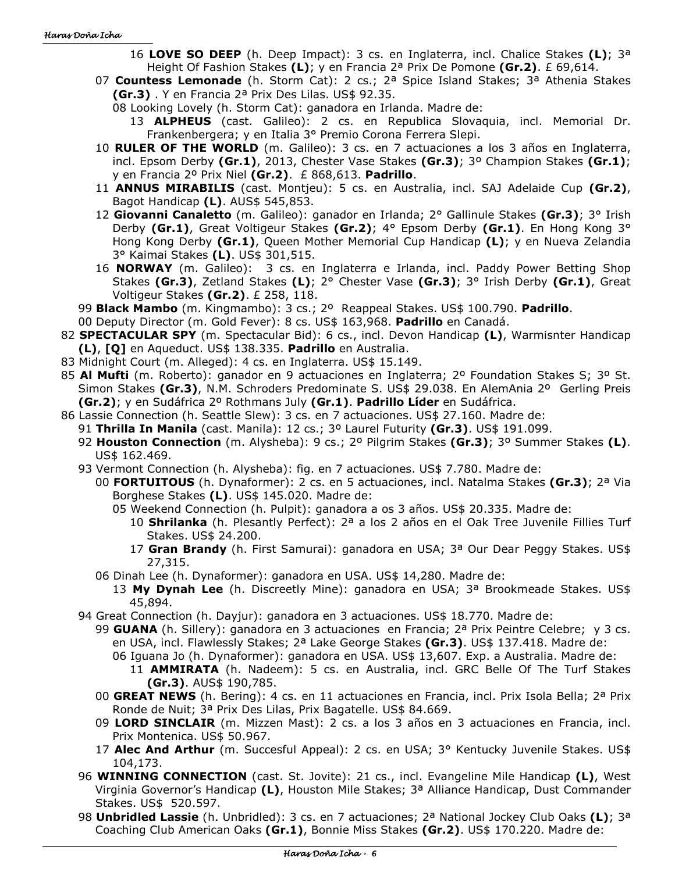16 **LOVE SO DEEP** (h. Deep Impact): 3 cs. en Inglaterra, incl. Chalice Stakes **(L)**; 3ª Height Of Fashion Stakes **(L)**; y en Francia 2ª Prix De Pomone **(Gr.2)**. £ 69,614.

- 07 **Countess Lemonade** (h. Storm Cat): 2 cs.; 2ª Spice Island Stakes; 3ª Athenia Stakes **(Gr.3)** . Y en Francia 2ª Prix Des Lilas. US\$ 92.35.
	- 08 Looking Lovely (h. Storm Cat): ganadora en Irlanda. Madre de:
		- 13 **ALPHEUS** (cast. Galileo): 2 cs. en Republica Slovaquia, incl. Memorial Dr. Frankenbergera; y en Italia 3° Premio Corona Ferrera Slepi.
- 10 **RULER OF THE WORLD** (m. Galileo): 3 cs. en 7 actuaciones a los 3 años en Inglaterra, incl. Epsom Derby **(Gr.1)**, 2013, Chester Vase Stakes **(Gr.3)**; 3º Champion Stakes **(Gr.1)**; y en Francia 2º Prix Niel **(Gr.2)**. £ 868,613. **Padrillo**.
- 11 **ANNUS MIRABILIS** (cast. Montjeu): 5 cs. en Australia, incl. SAJ Adelaide Cup **(Gr.2)**, Bagot Handicap **(L)**. AUS\$ 545,853.
- 12 **Giovanni Canaletto** (m. Galileo): ganador en Irlanda; 2° Gallinule Stakes **(Gr.3)**; 3° Irish Derby **(Gr.1)**, Great Voltigeur Stakes **(Gr.2)**; 4° Epsom Derby **(Gr.1)**. En Hong Kong 3° Hong Kong Derby **(Gr.1)**, Queen Mother Memorial Cup Handicap **(L)**; y en Nueva Zelandia 3° Kaimai Stakes **(L)**. US\$ 301,515.
- 16 **NORWAY** (m. Galileo): 3 cs. en Inglaterra e Irlanda, incl. Paddy Power Betting Shop Stakes **(Gr.3)**, Zetland Stakes **(L)**; 2° Chester Vase **(Gr.3)**; 3° Irish Derby **(Gr.1)**, Great Voltigeur Stakes **(Gr.2)**. £ 258, 118.
- 99 **Black Mambo** (m. Kingmambo): 3 cs.; 2º Reappeal Stakes. US\$ 100.790. **Padrillo**.
- 00 Deputy Director (m. Gold Fever): 8 cs. US\$ 163,968. **Padrillo** en Canadá.
- 82 **SPECTACULAR SPY** (m. Spectacular Bid): 6 cs., incl. Devon Handicap **(L)**, Warmisnter Handicap **(L)**, **[Q]** en Aqueduct. US\$ 138.335. **Padrillo** en Australia.
- 83 Midnight Court (m. Alleged): 4 cs. en Inglaterra. US\$ 15.149.
- 85 **Al Mufti** (m. Roberto): ganador en 9 actuaciones en Inglaterra; 2º Foundation Stakes S; 3º St. Simon Stakes **(Gr.3)**, N.M. Schroders Predominate S. US\$ 29.038. En AlemAnia 2º Gerling Preis **(Gr.2)**; y en Sudáfrica 2º Rothmans July **(Gr.1)**. **Padrillo Líder** en Sudáfrica.
- 86 Lassie Connection (h. Seattle Slew): 3 cs. en 7 actuaciones. US\$ 27.160. Madre de:
	- 91 **Thrilla In Manila** (cast. Manila): 12 cs.; 3º Laurel Futurity **(Gr.3)**. US\$ 191.099.
	- 92 **Houston Connection** (m. Alysheba): 9 cs.; 2º Pilgrim Stakes **(Gr.3)**; 3º Summer Stakes **(L)**. US\$ 162.469.
	- 93 Vermont Connection (h. Alysheba): fig. en 7 actuaciones. US\$ 7.780. Madre de:
		- 00 **FORTUITOUS** (h. Dynaformer): 2 cs. en 5 actuaciones, incl. Natalma Stakes **(Gr.3)**; 2ª Via Borghese Stakes **(L)**. US\$ 145.020. Madre de:
			- 05 Weekend Connection (h. Pulpit): ganadora a os 3 años. US\$ 20.335. Madre de:
				- 10 **Shrilanka** (h. Plesantly Perfect): 2ª a los 2 años en el Oak Tree Juvenile Fillies Turf Stakes. US\$ 24.200.
				- 17 **Gran Brandy** (h. First Samurai): ganadora en USA; 3ª Our Dear Peggy Stakes. US\$ 27,315.
		- 06 Dinah Lee (h. Dynaformer): ganadora en USA. US\$ 14,280. Madre de:
			- 13 **My Dynah Lee** (h. Discreetly Mine): ganadora en USA; 3ª Brookmeade Stakes. US\$ 45,894.
	- 94 Great Connection (h. Dayjur): ganadora en 3 actuaciones. US\$ 18.770. Madre de:
		- 99 **GUANA** (h. Sillery): ganadora en 3 actuaciones en Francia; 2ª Prix Peintre Celebre; y 3 cs. en USA, incl. Flawlessly Stakes; 2ª Lake George Stakes **(Gr.3)**. US\$ 137.418. Madre de:
			- 06 Iguana Jo (h. Dynaformer): ganadora en USA. US\$ 13,607. Exp. a Australia. Madre de:
			- 11 **AMMIRATA** (h. Nadeem): 5 cs. en Australia, incl. GRC Belle Of The Turf Stakes **(Gr.3)**. AUS\$ 190,785.
		- 00 **GREAT NEWS** (h. Bering): 4 cs. en 11 actuaciones en Francia, incl. Prix Isola Bella; 2ª Prix Ronde de Nuit; 3ª Prix Des Lilas, Prix Bagatelle. US\$ 84.669.
		- 09 **LORD SINCLAIR** (m. Mizzen Mast): 2 cs. a los 3 años en 3 actuaciones en Francia, incl. Prix Montenica. US\$ 50.967.
		- 17 **Alec And Arthur** (m. Succesful Appeal): 2 cs. en USA; 3° Kentucky Juvenile Stakes. US\$ 104,173.
	- 96 **WINNING CONNECTION** (cast. St. Jovite): 21 cs., incl. Evangeline Mile Handicap **(L)**, West Virginia Governor's Handicap **(L)**, Houston Mile Stakes; 3ª Alliance Handicap, Dust Commander Stakes. US\$ 520.597.
	- 98 **Unbridled Lassie** (h. Unbridled): 3 cs. en 7 actuaciones; 2ª National Jockey Club Oaks **(L)**; 3ª Coaching Club American Oaks **(Gr.1)**, Bonnie Miss Stakes **(Gr.2)**. US\$ 170.220. Madre de: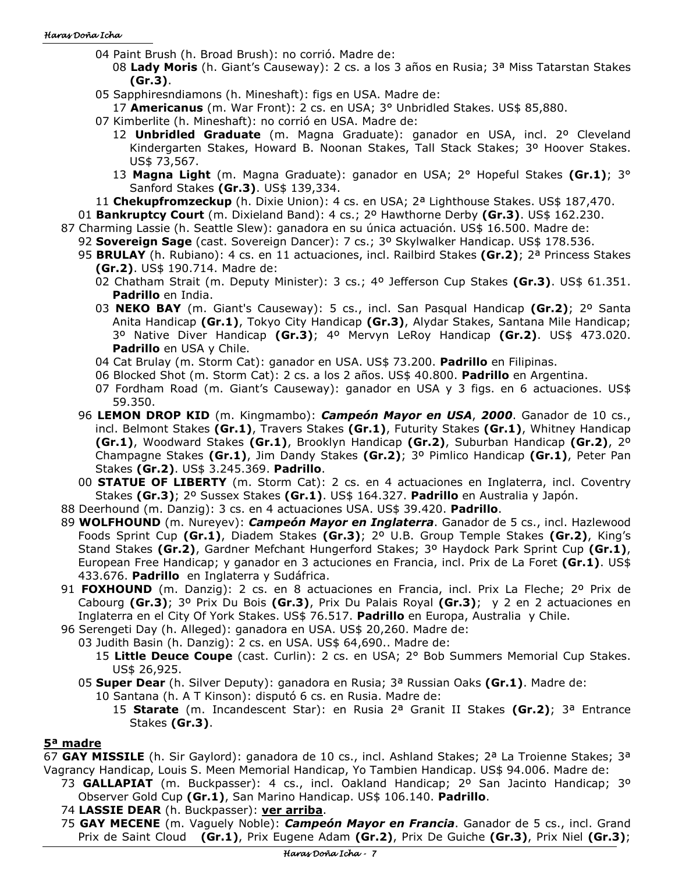- 04 Paint Brush (h. Broad Brush): no corrió. Madre de:
	- 08 **Lady Moris** (h. Giant's Causeway): 2 cs. a los 3 años en Rusia; 3ª Miss Tatarstan Stakes **(Gr.3)**.
- 05 Sapphiresndiamons (h. Mineshaft): figs en USA. Madre de:
- 17 **Americanus** (m. War Front): 2 cs. en USA; 3° Unbridled Stakes. US\$ 85,880.
- 07 Kimberlite (h. Mineshaft): no corrió en USA. Madre de:
	- 12 **Unbridled Graduate** (m. Magna Graduate): ganador en USA, incl. 2º Cleveland Kindergarten Stakes, Howard B. Noonan Stakes, Tall Stack Stakes; 3º Hoover Stakes. US\$ 73,567.
	- 13 **Magna Light** (m. Magna Graduate): ganador en USA; 2° Hopeful Stakes **(Gr.1)**; 3° Sanford Stakes **(Gr.3)**. US\$ 139,334.
- 11 **Chekupfromzeckup** (h. Dixie Union): 4 cs. en USA; 2ª Lighthouse Stakes. US\$ 187,470.
- 01 **Bankruptcy Court** (m. Dixieland Band): 4 cs.; 2º Hawthorne Derby **(Gr.3)**. US\$ 162.230.
- 87 Charming Lassie (h. Seattle Slew): ganadora en su única actuación. US\$ 16.500. Madre de:
	- 92 **Sovereign Sage** (cast. Sovereign Dancer): 7 cs.; 3º Skylwalker Handicap. US\$ 178.536.
	- 95 **BRULAY** (h. Rubiano): 4 cs. en 11 actuaciones, incl. Railbird Stakes **(Gr.2)**; 2ª Princess Stakes **(Gr.2)**. US\$ 190.714. Madre de:
		- 02 Chatham Strait (m. Deputy Minister): 3 cs.; 4º Jefferson Cup Stakes **(Gr.3)**. US\$ 61.351. **Padrillo** en India.
		- 03 **NEKO BAY** (m. Giant's Causeway): 5 cs., incl. San Pasqual Handicap **(Gr.2)**; 2º Santa Anita Handicap **(Gr.1)**, Tokyo City Handicap **(Gr.3)**, Alydar Stakes, Santana Mile Handicap; 3º Native Diver Handicap **(Gr.3)**; 4º Mervyn LeRoy Handicap **(Gr.2)**. US\$ 473.020. **Padrillo** en USA y Chile.
		- 04 Cat Brulay (m. Storm Cat): ganador en USA. US\$ 73.200. **Padrillo** en Filipinas.
		- 06 Blocked Shot (m. Storm Cat): 2 cs. a los 2 años. US\$ 40.800. **Padrillo** en Argentina.
		- 07 Fordham Road (m. Giant's Causeway): ganador en USA y 3 figs. en 6 actuaciones. US\$ 59.350.
	- 96 **LEMON DROP KID** (m. Kingmambo): *Campeón Mayor en USA*, *2000*. Ganador de 10 cs., incl. Belmont Stakes **(Gr.1)**, Travers Stakes **(Gr.1)**, Futurity Stakes **(Gr.1)**, Whitney Handicap **(Gr.1)**, Woodward Stakes **(Gr.1)**, Brooklyn Handicap **(Gr.2)**, Suburban Handicap **(Gr.2)**, 2º Champagne Stakes **(Gr.1)**, Jim Dandy Stakes **(Gr.2)**; 3º Pimlico Handicap **(Gr.1)**, Peter Pan Stakes **(Gr.2)**. US\$ 3.245.369. **Padrillo**.
	- 00 **STATUE OF LIBERTY** (m. Storm Cat): 2 cs. en 4 actuaciones en Inglaterra, incl. Coventry Stakes **(Gr.3)**; 2º Sussex Stakes **(Gr.1)**. US\$ 164.327. **Padrillo** en Australia y Japón.
- 88 Deerhound (m. Danzig): 3 cs. en 4 actuaciones USA. US\$ 39.420. **Padrillo**.
- 89 **WOLFHOUND** (m. Nureyev): *Campeón Mayor en Inglaterra*. Ganador de 5 cs., incl. Hazlewood Foods Sprint Cup **(Gr.1)**, Diadem Stakes **(Gr.3)**; 2º U.B. Group Temple Stakes **(Gr.2)**, King's Stand Stakes **(Gr.2)**, Gardner Mefchant Hungerford Stakes; 3º Haydock Park Sprint Cup **(Gr.1)**, European Free Handicap; y ganador en 3 actuciones en Francia, incl. Prix de La Foret **(Gr.1)**. US\$ 433.676. **Padrillo** en Inglaterra y Sudáfrica.
- 91 **FOXHOUND** (m. Danzig): 2 cs. en 8 actuaciones en Francia, incl. Prix La Fleche; 2º Prix de Cabourg **(Gr.3)**; 3º Prix Du Bois **(Gr.3)**, Prix Du Palais Royal **(Gr.3)**; y 2 en 2 actuaciones en Inglaterra en el City Of York Stakes. US\$ 76.517. **Padrillo** en Europa, Australia y Chile.
- 96 Serengeti Day (h. Alleged): ganadora en USA. US\$ 20,260. Madre de:
	- 03 Judith Basin (h. Danzig): 2 cs. en USA. US\$ 64,690.. Madre de:
		- 15 **Little Deuce Coupe** (cast. Curlin): 2 cs. en USA; 2° Bob Summers Memorial Cup Stakes. US\$ 26,925.
	- 05 **Super Dear** (h. Silver Deputy): ganadora en Rusia; 3ª Russian Oaks **(Gr.1)**. Madre de:
		- 10 Santana (h. A T Kinson): disputó 6 cs. en Rusia. Madre de:
			- 15 **Starate** (m. Incandescent Star): en Rusia 2ª Granit II Stakes **(Gr.2)**; 3ª Entrance Stakes **(Gr.3)**.

### **5ª madre**

67 **GAY MISSILE** (h. Sir Gaylord): ganadora de 10 cs., incl. Ashland Stakes; 2ª La Troienne Stakes; 3ª Vagrancy Handicap, Louis S. Meen Memorial Handicap, Yo Tambien Handicap. US\$ 94.006. Madre de:

- 73 **GALLAPIAT** (m. Buckpasser): 4 cs., incl. Oakland Handicap; 2º San Jacinto Handicap; 3º Observer Gold Cup **(Gr.1)**, San Marino Handicap. US\$ 106.140. **Padrillo**.
- 74 **LASSIE DEAR** (h. Buckpasser): **ver arriba**.
- 75 **GAY MECENE** (m. Vaguely Noble): *Campeón Mayor en Francia*. Ganador de 5 cs., incl. Grand Prix de Saint Cloud **(Gr.1)**, Prix Eugene Adam **(Gr.2)**, Prix De Guiche **(Gr.3)**, Prix Niel **(Gr.3)**;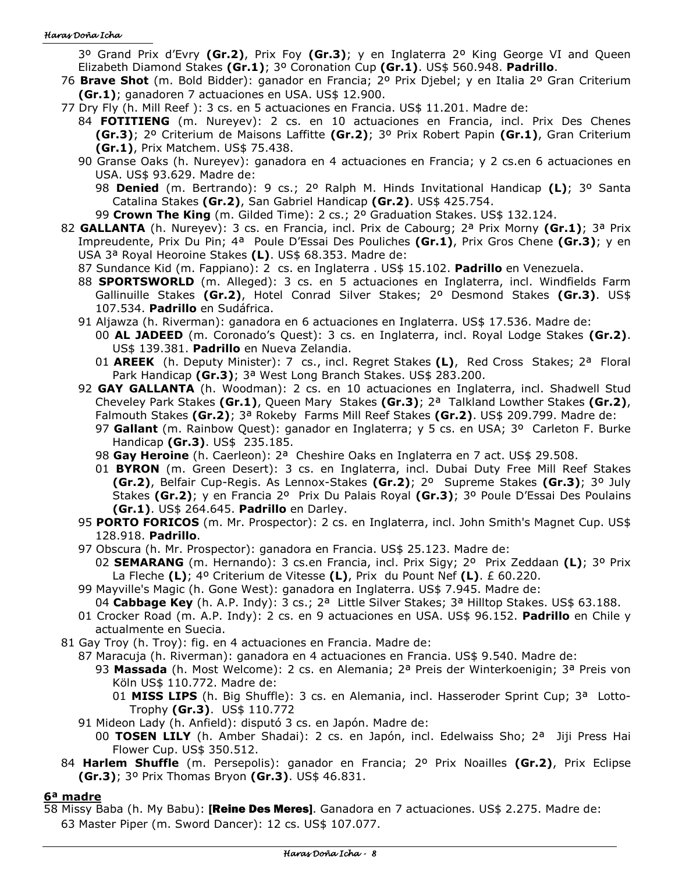3º Grand Prix d'Evry **(Gr.2)**, Prix Foy **(Gr.3)**; y en Inglaterra 2º King George VI and Queen Elizabeth Diamond Stakes **(Gr.1)**; 3º Coronation Cup **(Gr.1)**. US\$ 560.948. **Padrillo**.

- 76 **Brave Shot** (m. Bold Bidder): ganador en Francia; 2º Prix Djebel; y en Italia 2º Gran Criterium **(Gr.1)**; ganadoren 7 actuaciones en USA. US\$ 12.900.
- 77 Dry Fly (h. Mill Reef ): 3 cs. en 5 actuaciones en Francia. US\$ 11.201. Madre de:
	- 84 **FOTITIENG** (m. Nureyev): 2 cs. en 10 actuaciones en Francia, incl. Prix Des Chenes **(Gr.3)**; 2º Criterium de Maisons Laffitte **(Gr.2)**; 3º Prix Robert Papin **(Gr.1)**, Gran Criterium **(Gr.1)**, Prix Matchem. US\$ 75.438.
	- 90 Granse Oaks (h. Nureyev): ganadora en 4 actuaciones en Francia; y 2 cs.en 6 actuaciones en USA. US\$ 93.629. Madre de:
		- 98 **Denied** (m. Bertrando): 9 cs.; 2º Ralph M. Hinds Invitational Handicap **(L)**; 3º Santa Catalina Stakes **(Gr.2)**, San Gabriel Handicap **(Gr.2)**. US\$ 425.754.
		- 99 Crown The King (m. Gilded Time): 2 cs.; 2º Graduation Stakes. US\$ 132.124.
- 82 **GALLANTA** (h. Nureyev): 3 cs. en Francia, incl. Prix de Cabourg; 2ª Prix Morny **(Gr.1)**; 3ª Prix Impreudente, Prix Du Pin; 4ª Poule D'Essai Des Pouliches **(Gr.1)**, Prix Gros Chene **(Gr.3)**; y en USA 3ª Royal Heoroine Stakes **(L)**. US\$ 68.353. Madre de:
	- 87 Sundance Kid (m. Fappiano): 2 cs. en Inglaterra . US\$ 15.102. **Padrillo** en Venezuela.
	- 88 **SPORTSWORLD** (m. Alleged): 3 cs. en 5 actuaciones en Inglaterra, incl. Windfields Farm Gallinuille Stakes **(Gr.2)**, Hotel Conrad Silver Stakes; 2º Desmond Stakes **(Gr.3)**. US\$ 107.534. **Padrillo** en Sudáfrica.
	- 91 Aljawza (h. Riverman): ganadora en 6 actuaciones en Inglaterra. US\$ 17.536. Madre de:
		- 00 **AL JADEED** (m. Coronado's Quest): 3 cs. en Inglaterra, incl. Royal Lodge Stakes **(Gr.2)**. US\$ 139.381. **Padrillo** en Nueva Zelandia.
		- 01 **AREEK** (h. Deputy Minister): 7 cs., incl. Regret Stakes **(L)**, Red Cross Stakes; 2ª Floral Park Handicap **(Gr.3)**; 3ª West Long Branch Stakes. US\$ 283.200.
	- 92 **GAY GALLANTA** (h. Woodman): 2 cs. en 10 actuaciones en Inglaterra, incl. Shadwell Stud Cheveley Park Stakes **(Gr.1)**, Queen Mary Stakes **(Gr.3)**; 2ª Talkland Lowther Stakes **(Gr.2)**, Falmouth Stakes **(Gr.2)**; 3ª Rokeby Farms Mill Reef Stakes **(Gr.2)**. US\$ 209.799. Madre de:
		- 97 **Gallant** (m. Rainbow Quest): ganador en Inglaterra; y 5 cs. en USA; 3º Carleton F. Burke Handicap **(Gr.3)**. US\$ 235.185.
		- 98 **Gay Heroine** (h. Caerleon): 2ª Cheshire Oaks en Inglaterra en 7 act. US\$ 29.508.
		- 01 **BYRON** (m. Green Desert): 3 cs. en Inglaterra, incl. Dubai Duty Free Mill Reef Stakes **(Gr.2)**, Belfair Cup-Regis. As Lennox-Stakes **(Gr.2)**; 2º Supreme Stakes **(Gr.3)**; 3º July Stakes **(Gr.2)**; y en Francia 2º Prix Du Palais Royal **(Gr.3)**; 3º Poule D'Essai Des Poulains **(Gr.1)**. US\$ 264.645. **Padrillo** en Darley.
	- 95 **PORTO FORICOS** (m. Mr. Prospector): 2 cs. en Inglaterra, incl. John Smith's Magnet Cup. US\$ 128.918. **Padrillo**.
	- 97 Obscura (h. Mr. Prospector): ganadora en Francia. US\$ 25.123. Madre de: 02 **SEMARANG** (m. Hernando): 3 cs.en Francia, incl. Prix Sigy; 2º Prix Zeddaan **(L)**; 3º Prix
		- La Fleche **(L)**; 4º Criterium de Vitesse **(L)**, Prix du Pount Nef **(L)**. £ 60.220.
	- 99 Mayville's Magic (h. Gone West): ganadora en Inglaterra. US\$ 7.945. Madre de:
		- 04 **Cabbage Key** (h. A.P. Indy): 3 cs.; 2ª Little Silver Stakes; 3ª Hilltop Stakes. US\$ 63.188.
	- 01 Crocker Road (m. A.P. Indy): 2 cs. en 9 actuaciones en USA. US\$ 96.152. **Padrillo** en Chile y actualmente en Suecia.
- 81 Gay Troy (h. Troy): fig. en 4 actuaciones en Francia. Madre de:
	- 87 Maracuja (h. Riverman): ganadora en 4 actuaciones en Francia. US\$ 9.540. Madre de:
		- 93 **Massada** (h. Most Welcome): 2 cs. en Alemania; 2ª Preis der Winterkoenigin; 3ª Preis von Köln US\$ 110.772. Madre de:
			- 01 **MISS LIPS** (h. Big Shuffle): 3 cs. en Alemania, incl. Hasseroder Sprint Cup; 3ª Lotto-Trophy **(Gr.3)**. US\$ 110.772
	- 91 Mideon Lady (h. Anfield): disputó 3 cs. en Japón. Madre de:
	- 00 **TOSEN LILY** (h. Amber Shadai): 2 cs. en Japón, incl. Edelwaiss Sho; 2ª Jiji Press Hai Flower Cup. US\$ 350.512.
- 84 **Harlem Shuffle** (m. Persepolis): ganador en Francia; 2º Prix Noailles **(Gr.2)**, Prix Eclipse **(Gr.3)**; 3º Prix Thomas Bryon **(Gr.3)**. US\$ 46.831.

# **6ª madre**

58 Missy Baba (h. My Babu): [Reine Des Meres]. Ganadora en 7 actuaciones. US\$ 2.275. Madre de: 63 Master Piper (m. Sword Dancer): 12 cs. US\$ 107.077.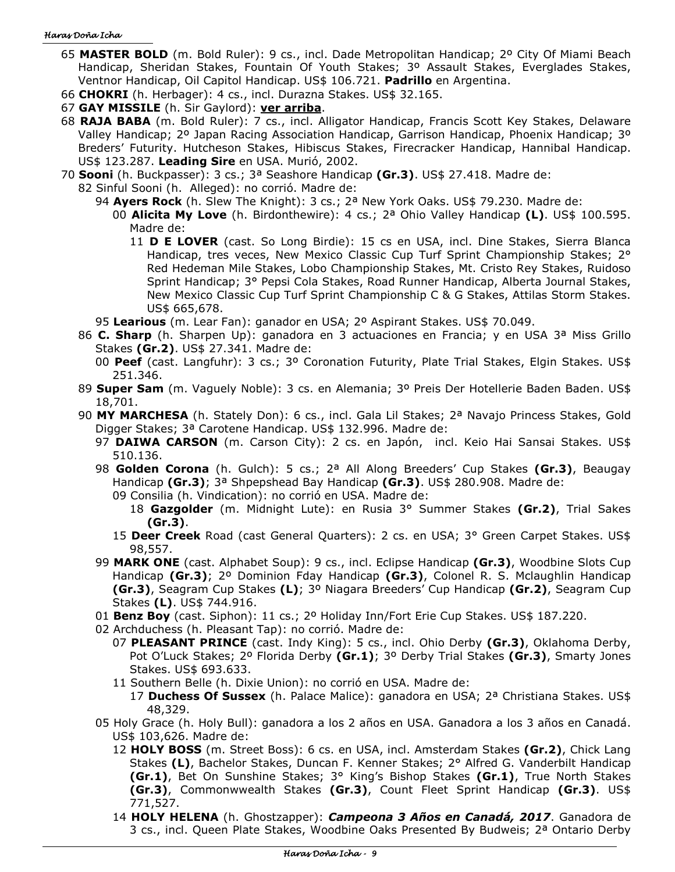- 65 **MASTER BOLD** (m. Bold Ruler): 9 cs., incl. Dade Metropolitan Handicap; 2º City Of Miami Beach Handicap, Sheridan Stakes, Fountain Of Youth Stakes; 3º Assault Stakes, Everglades Stakes, Ventnor Handicap, Oil Capitol Handicap. US\$ 106.721. **Padrillo** en Argentina.
- 66 **CHOKRI** (h. Herbager): 4 cs., incl. Durazna Stakes. US\$ 32.165.
- 67 **GAY MISSILE** (h. Sir Gaylord): **ver arriba**.
- 68 **RAJA BABA** (m. Bold Ruler): 7 cs., incl. Alligator Handicap, Francis Scott Key Stakes, Delaware Valley Handicap; 2º Japan Racing Association Handicap, Garrison Handicap, Phoenix Handicap; 3º Breders' Futurity. Hutcheson Stakes, Hibiscus Stakes, Firecracker Handicap, Hannibal Handicap. US\$ 123.287. **Leading Sire** en USA. Murió, 2002.
- 70 **Sooni** (h. Buckpasser): 3 cs.; 3ª Seashore Handicap **(Gr.3)**. US\$ 27.418. Madre de:
	- 82 Sinful Sooni (h. Alleged): no corrió. Madre de:

94 **Ayers Rock** (h. Slew The Knight): 3 cs.; 2ª New York Oaks. US\$ 79.230. Madre de:

- 00 **Alicita My Love** (h. Birdonthewire): 4 cs.; 2ª Ohio Valley Handicap **(L)**. US\$ 100.595. Madre de:
	- 11 **D E LOVER** (cast. So Long Birdie): 15 cs en USA, incl. Dine Stakes, Sierra Blanca Handicap, tres veces, New Mexico Classic Cup Turf Sprint Championship Stakes; 2° Red Hedeman Mile Stakes, Lobo Championship Stakes, Mt. Cristo Rey Stakes, Ruidoso Sprint Handicap; 3° Pepsi Cola Stakes, Road Runner Handicap, Alberta Journal Stakes, New Mexico Classic Cup Turf Sprint Championship C & G Stakes, Attilas Storm Stakes. US\$ 665,678.

95 **Learious** (m. Lear Fan): ganador en USA; 2º Aspirant Stakes. US\$ 70.049.

- 86 **C. Sharp** (h. Sharpen Up): ganadora en 3 actuaciones en Francia; y en USA 3ª Miss Grillo Stakes **(Gr.2)**. US\$ 27.341. Madre de:
	- 00 **Peef** (cast. Langfuhr): 3 cs.; 3º Coronation Futurity, Plate Trial Stakes, Elgin Stakes. US\$ 251.346.
- 89 **Super Sam** (m. Vaguely Noble): 3 cs. en Alemania; 3º Preis Der Hotellerie Baden Baden. US\$ 18,701.
- 90 **MY MARCHESA** (h. Stately Don): 6 cs., incl. Gala Lil Stakes; 2ª Navajo Princess Stakes, Gold Digger Stakes; 3ª Carotene Handicap. US\$ 132.996. Madre de:
	- 97 **DAIWA CARSON** (m. Carson City): 2 cs. en Japón, incl. Keio Hai Sansai Stakes. US\$ 510.136.
	- 98 **Golden Corona** (h. Gulch): 5 cs.; 2ª All Along Breeders' Cup Stakes **(Gr.3)**, Beaugay Handicap **(Gr.3)**; 3ª Shpepshead Bay Handicap **(Gr.3)**. US\$ 280.908. Madre de:
		- 09 Consilia (h. Vindication): no corrió en USA. Madre de:
			- 18 **Gazgolder** (m. Midnight Lute): en Rusia 3° Summer Stakes **(Gr.2)**, Trial Sakes **(Gr.3)**.
		- 15 **Deer Creek** Road (cast General Quarters): 2 cs. en USA; 3° Green Carpet Stakes. US\$ 98,557.
	- 99 **MARK ONE** (cast. Alphabet Soup): 9 cs., incl. Eclipse Handicap **(Gr.3)**, Woodbine Slots Cup Handicap **(Gr.3)**; 2º Dominion Fday Handicap **(Gr.3)**, Colonel R. S. Mclaughlin Handicap **(Gr.3)**, Seagram Cup Stakes **(L)**; 3º Niagara Breeders' Cup Handicap **(Gr.2)**, Seagram Cup Stakes **(L)**. US\$ 744.916.
	- 01 **Benz Boy** (cast. Siphon): 11 cs.; 2º Holiday Inn/Fort Erie Cup Stakes. US\$ 187.220.
	- 02 Archduchess (h. Pleasant Tap): no corrió. Madre de:
		- 07 **PLEASANT PRINCE** (cast. Indy King): 5 cs., incl. Ohio Derby **(Gr.3)**, Oklahoma Derby, Pot O'Luck Stakes; 2º Florida Derby **(Gr.1)**; 3º Derby Trial Stakes **(Gr.3)**, Smarty Jones Stakes. US\$ 693.633.
		- 11 Southern Belle (h. Dixie Union): no corrió en USA. Madre de:

17 **Duchess Of Sussex** (h. Palace Malice): ganadora en USA; 2ª Christiana Stakes. US\$ 48,329.

- 05 Holy Grace (h. Holy Bull): ganadora a los 2 años en USA. Ganadora a los 3 años en Canadá. US\$ 103,626. Madre de:
	- 12 **HOLY BOSS** (m. Street Boss): 6 cs. en USA, incl. Amsterdam Stakes **(Gr.2)**, Chick Lang Stakes **(L)**, Bachelor Stakes, Duncan F. Kenner Stakes; 2° Alfred G. Vanderbilt Handicap **(Gr.1)**, Bet On Sunshine Stakes; 3° King's Bishop Stakes **(Gr.1)**, True North Stakes **(Gr.3)**, Commonwwealth Stakes **(Gr.3)**, Count Fleet Sprint Handicap **(Gr.3)**. US\$ 771,527.
	- 14 **HOLY HELENA** (h. Ghostzapper): *Campeona 3 Años en Canadá, 2017*. Ganadora de 3 cs., incl. Queen Plate Stakes, Woodbine Oaks Presented By Budweis; 2ª Ontario Derby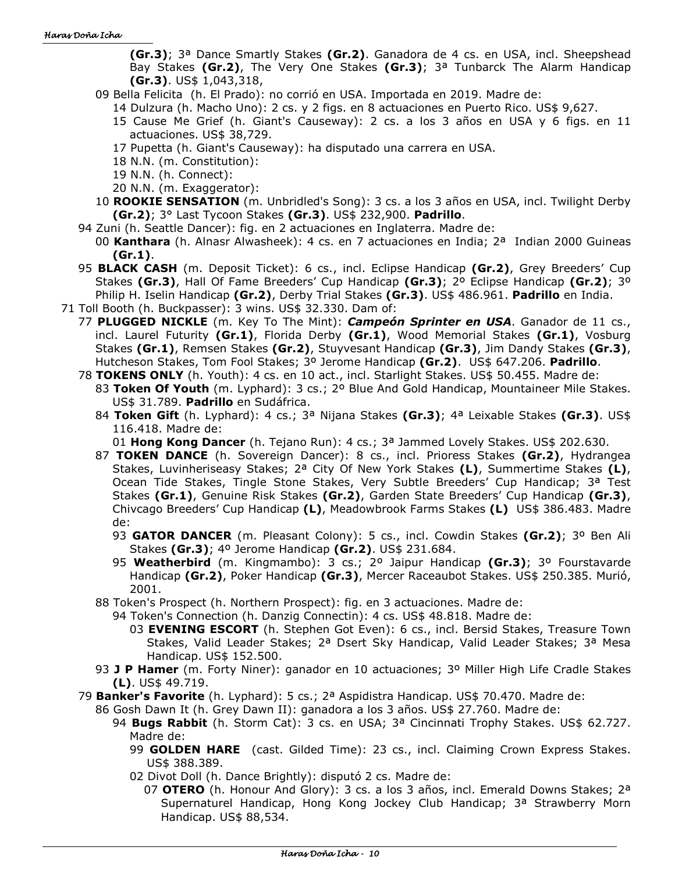**(Gr.3)**; 3ª Dance Smartly Stakes **(Gr.2)**. Ganadora de 4 cs. en USA, incl. Sheepshead Bay Stakes **(Gr.2)**, The Very One Stakes **(Gr.3)**; 3ª Tunbarck The Alarm Handicap **(Gr.3)**. US\$ 1,043,318,

- 09 Bella Felicita (h. El Prado): no corrió en USA. Importada en 2019. Madre de:
	- 14 Dulzura (h. Macho Uno): 2 cs. y 2 figs. en 8 actuaciones en Puerto Rico. US\$ 9,627.
	- 15 Cause Me Grief (h. Giant's Causeway): 2 cs. a los 3 años en USA y 6 figs. en 11 actuaciones. US\$ 38,729.
	- 17 Pupetta (h. Giant's Causeway): ha disputado una carrera en USA.
	- 18 N.N. (m. Constitution):
	- 19 N.N. (h. Connect):
	- 20 N.N. (m. Exaggerator):
- 10 **ROOKIE SENSATION** (m. Unbridled's Song): 3 cs. a los 3 años en USA, incl. Twilight Derby **(Gr.2)**; 3° Last Tycoon Stakes **(Gr.3)**. US\$ 232,900. **Padrillo**.
- 94 Zuni (h. Seattle Dancer): fig. en 2 actuaciones en Inglaterra. Madre de:
	- 00 **Kanthara** (h. Alnasr Alwasheek): 4 cs. en 7 actuaciones en India; 2ª Indian 2000 Guineas **(Gr.1)**.
- 95 **BLACK CASH** (m. Deposit Ticket): 6 cs., incl. Eclipse Handicap **(Gr.2)**, Grey Breeders' Cup Stakes **(Gr.3)**, Hall Of Fame Breeders' Cup Handicap **(Gr.3)**; 2º Eclipse Handicap **(Gr.2)**; 3º Philip H. Iselin Handicap **(Gr.2)**, Derby Trial Stakes **(Gr.3)**. US\$ 486.961. **Padrillo** en India.
- 71 Toll Booth (h. Buckpasser): 3 wins. US\$ 32.330. Dam of:
- 77 **PLUGGED NICKLE** (m. Key To The Mint): *Campeón Sprinter en USA*. Ganador de 11 cs., incl. Laurel Futurity **(Gr.1)**, Florida Derby **(Gr.1)**, Wood Memorial Stakes **(Gr.1)**, Vosburg Stakes **(Gr.1)**, Remsen Stakes **(Gr.2)**, Stuyvesant Handicap **(Gr.3)**, Jim Dandy Stakes **(Gr.3)**, Hutcheson Stakes, Tom Fool Stakes; 3º Jerome Handicap **(Gr.2)**. US\$ 647.206. **Padrillo**.
	- 78 **TOKENS ONLY** (h. Youth): 4 cs. en 10 act., incl. Starlight Stakes. US\$ 50.455. Madre de: 83 **Token Of Youth** (m. Lyphard): 3 cs.; 2º Blue And Gold Handicap, Mountaineer Mile Stakes. US\$ 31.789. **Padrillo** en Sudáfrica.
		- 84 **Token Gift** (h. Lyphard): 4 cs.; 3ª Nijana Stakes **(Gr.3)**; 4ª Leixable Stakes **(Gr.3)**. US\$ 116.418. Madre de:
			- 01 **Hong Kong Dancer** (h. Tejano Run): 4 cs.; 3ª Jammed Lovely Stakes. US\$ 202.630.
		- 87 **TOKEN DANCE** (h. Sovereign Dancer): 8 cs., incl. Prioress Stakes **(Gr.2)**, Hydrangea Stakes, Luvinheriseasy Stakes; 2ª City Of New York Stakes **(L)**, Summertime Stakes **(L)**, Ocean Tide Stakes, Tingle Stone Stakes, Very Subtle Breeders' Cup Handicap; 3ª Test Stakes **(Gr.1)**, Genuine Risk Stakes **(Gr.2)**, Garden State Breeders' Cup Handicap **(Gr.3)**, Chivcago Breeders' Cup Handicap **(L)**, Meadowbrook Farms Stakes **(L)** US\$ 386.483. Madre de:
			- 93 **GATOR DANCER** (m. Pleasant Colony): 5 cs., incl. Cowdin Stakes **(Gr.2)**; 3º Ben Ali Stakes **(Gr.3)**; 4º Jerome Handicap **(Gr.2)**. US\$ 231.684.
			- 95 **Weatherbird** (m. Kingmambo): 3 cs.; 2º Jaipur Handicap **(Gr.3)**; 3º Fourstavarde Handicap **(Gr.2)**, Poker Handicap **(Gr.3)**, Mercer Raceaubot Stakes. US\$ 250.385. Murió, 2001.
		- 88 Token's Prospect (h. Northern Prospect): fig. en 3 actuaciones. Madre de:
			- 94 Token's Connection (h. Danzig Connectin): 4 cs. US\$ 48.818. Madre de:
				- 03 **EVENING ESCORT** (h. Stephen Got Even): 6 cs., incl. Bersid Stakes, Treasure Town Stakes, Valid Leader Stakes; 2ª Dsert Sky Handicap, Valid Leader Stakes; 3ª Mesa Handicap. US\$ 152.500.
		- 93 **J P Hamer** (m. Forty Niner): ganador en 10 actuaciones; 3º Miller High Life Cradle Stakes **(L)**. US\$ 49.719.
	- 79 **Banker's Favorite** (h. Lyphard): 5 cs.; 2ª Aspidistra Handicap. US\$ 70.470. Madre de:
		- 86 Gosh Dawn It (h. Grey Dawn II): ganadora a los 3 años. US\$ 27.760. Madre de:
			- 94 **Bugs Rabbit** (h. Storm Cat): 3 cs. en USA; 3ª Cincinnati Trophy Stakes. US\$ 62.727. Madre de:
				- 99 **GOLDEN HARE** (cast. Gilded Time): 23 cs., incl. Claiming Crown Express Stakes. US\$ 388.389.
				- 02 Divot Doll (h. Dance Brightly): disputó 2 cs. Madre de:
					- 07 **OTERO** (h. Honour And Glory): 3 cs. a los 3 años, incl. Emerald Downs Stakes; 2ª Supernaturel Handicap, Hong Kong Jockey Club Handicap; 3ª Strawberry Morn Handicap. US\$ 88,534.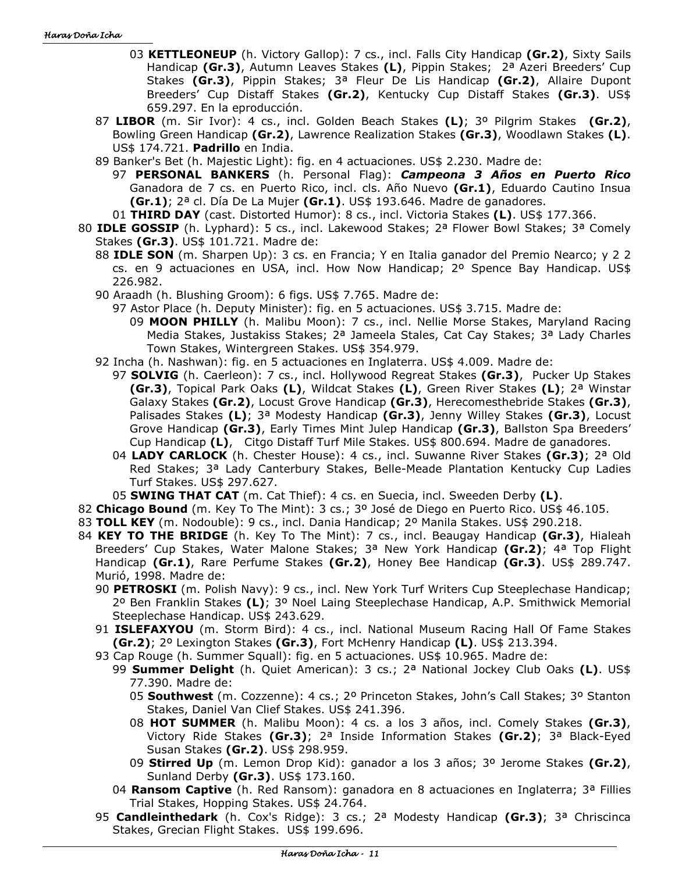- 03 **KETTLEONEUP** (h. Victory Gallop): 7 cs., incl. Falls City Handicap **(Gr.2)**, Sixty Sails Handicap **(Gr.3)**, Autumn Leaves Stakes **(L)**, Pippin Stakes; 2ª Azeri Breeders' Cup Stakes **(Gr.3)**, Pippin Stakes; 3ª Fleur De Lis Handicap **(Gr.2)**, Allaire Dupont Breeders' Cup Distaff Stakes **(Gr.2)**, Kentucky Cup Distaff Stakes **(Gr.3)**. US\$ 659.297. En la eproducción.
- 87 **LIBOR** (m. Sir Ivor): 4 cs., incl. Golden Beach Stakes **(L)**; 3º Pilgrim Stakes **(Gr.2)**, Bowling Green Handicap **(Gr.2)**, Lawrence Realization Stakes **(Gr.3)**, Woodlawn Stakes **(L)**. US\$ 174.721. **Padrillo** en India.
- 89 Banker's Bet (h. Majestic Light): fig. en 4 actuaciones. US\$ 2.230. Madre de:
	- 97 **PERSONAL BANKERS** (h. Personal Flag): *Campeona 3 Años en Puerto Rico* Ganadora de 7 cs. en Puerto Rico, incl. cls. Año Nuevo **(Gr.1)**, Eduardo Cautino Insua **(Gr.1)**; 2ª cl. Día De La Mujer **(Gr.1)**. US\$ 193.646. Madre de ganadores.
- 01 **THIRD DAY** (cast. Distorted Humor): 8 cs., incl. Victoria Stakes **(L)**. US\$ 177.366.
- 80 **IDLE GOSSIP** (h. Lyphard): 5 cs., incl. Lakewood Stakes; 2ª Flower Bowl Stakes; 3ª Comely Stakes **(Gr.3)**. US\$ 101.721. Madre de:
	- 88 **IDLE SON** (m. Sharpen Up): 3 cs. en Francia; Y en Italia ganador del Premio Nearco; y 2 2 cs. en 9 actuaciones en USA, incl. How Now Handicap; 2º Spence Bay Handicap. US\$ 226.982.
	- 90 Araadh (h. Blushing Groom): 6 figs. US\$ 7.765. Madre de:
		- 97 Astor Place (h. Deputy Minister): fig. en 5 actuaciones. US\$ 3.715. Madre de:
			- 09 **MOON PHILLY** (h. Malibu Moon): 7 cs., incl. Nellie Morse Stakes, Maryland Racing Media Stakes, Justakiss Stakes; 2ª Jameela Stales, Cat Cay Stakes; 3ª Lady Charles Town Stakes, Wintergreen Stakes. US\$ 354.979.
	- 92 Incha (h. Nashwan): fig. en 5 actuaciones en Inglaterra. US\$ 4.009. Madre de:
		- 97 **SOLVIG** (h. Caerleon): 7 cs., incl. Hollywood Regreat Stakes **(Gr.3)**, Pucker Up Stakes **(Gr.3)**, Topical Park Oaks **(L)**, Wildcat Stakes **(L)**, Green River Stakes **(L)**; 2ª Winstar Galaxy Stakes **(Gr.2)**, Locust Grove Handicap **(Gr.3)**, Herecomesthebride Stakes **(Gr.3)**, Palisades Stakes **(L)**; 3ª Modesty Handicap **(Gr.3)**, Jenny Willey Stakes **(Gr.3)**, Locust Grove Handicap **(Gr.3)**, Early Times Mint Julep Handicap **(Gr.3)**, Ballston Spa Breeders' Cup Handicap **(L)**, Citgo Distaff Turf Mile Stakes. US\$ 800.694. Madre de ganadores.
		- 04 **LADY CARLOCK** (h. Chester House): 4 cs., incl. Suwanne River Stakes **(Gr.3)**; 2ª Old Red Stakes; 3ª Lady Canterbury Stakes, Belle-Meade Plantation Kentucky Cup Ladies Turf Stakes. US\$ 297.627.
		- 05 **SWING THAT CAT** (m. Cat Thief): 4 cs. en Suecia, incl. Sweeden Derby **(L)**.
- 82 **Chicago Bound** (m. Key To The Mint): 3 cs.; 3º José de Diego en Puerto Rico. US\$ 46.105.
- 83 **TOLL KEY** (m. Nodouble): 9 cs., incl. Dania Handicap; 2º Manila Stakes. US\$ 290.218.
- 84 **KEY TO THE BRIDGE** (h. Key To The Mint): 7 cs., incl. Beaugay Handicap **(Gr.3)**, Hialeah Breeders' Cup Stakes, Water Malone Stakes; 3ª New York Handicap **(Gr.2)**; 4ª Top Flight Handicap **(Gr.1)**, Rare Perfume Stakes **(Gr.2)**, Honey Bee Handicap **(Gr.3)**. US\$ 289.747. Murió, 1998. Madre de:
	- 90 **PETROSKI** (m. Polish Navy): 9 cs., incl. New York Turf Writers Cup Steeplechase Handicap; 2º Ben Franklin Stakes **(L)**; 3º Noel Laing Steeplechase Handicap, A.P. Smithwick Memorial Steeplechase Handicap. US\$ 243.629.
	- 91 **ISLEFAXYOU** (m. Storm Bird): 4 cs., incl. National Museum Racing Hall Of Fame Stakes **(Gr.2)**; 2º Lexington Stakes **(Gr.3)**, Fort McHenry Handicap **(L)**. US\$ 213.394.
	- 93 Cap Rouge (h. Summer Squall): fig. en 5 actuaciones. US\$ 10.965. Madre de:
		- 99 **Summer Delight** (h. Quiet American): 3 cs.; 2ª National Jockey Club Oaks **(L)**. US\$ 77.390. Madre de:
			- 05 **Southwest** (m. Cozzenne): 4 cs.; 2º Princeton Stakes, John's Call Stakes; 3º Stanton Stakes, Daniel Van Clief Stakes. US\$ 241.396.
			- 08 **HOT SUMMER** (h. Malibu Moon): 4 cs. a los 3 años, incl. Comely Stakes **(Gr.3)**, Victory Ride Stakes **(Gr.3)**; 2ª Inside Information Stakes **(Gr.2)**; 3ª Black-Eyed Susan Stakes **(Gr.2)**. US\$ 298.959.
			- 09 **Stirred Up** (m. Lemon Drop Kid): ganador a los 3 años; 3º Jerome Stakes **(Gr.2)**, Sunland Derby **(Gr.3)**. US\$ 173.160.
		- 04 **Ransom Captive** (h. Red Ransom): ganadora en 8 actuaciones en Inglaterra; 3ª Fillies Trial Stakes, Hopping Stakes. US\$ 24.764.
	- 95 **Candleinthedark** (h. Cox's Ridge): 3 cs.; 2ª Modesty Handicap **(Gr.3)**; 3ª Chriscinca Stakes, Grecian Flight Stakes. US\$ 199.696.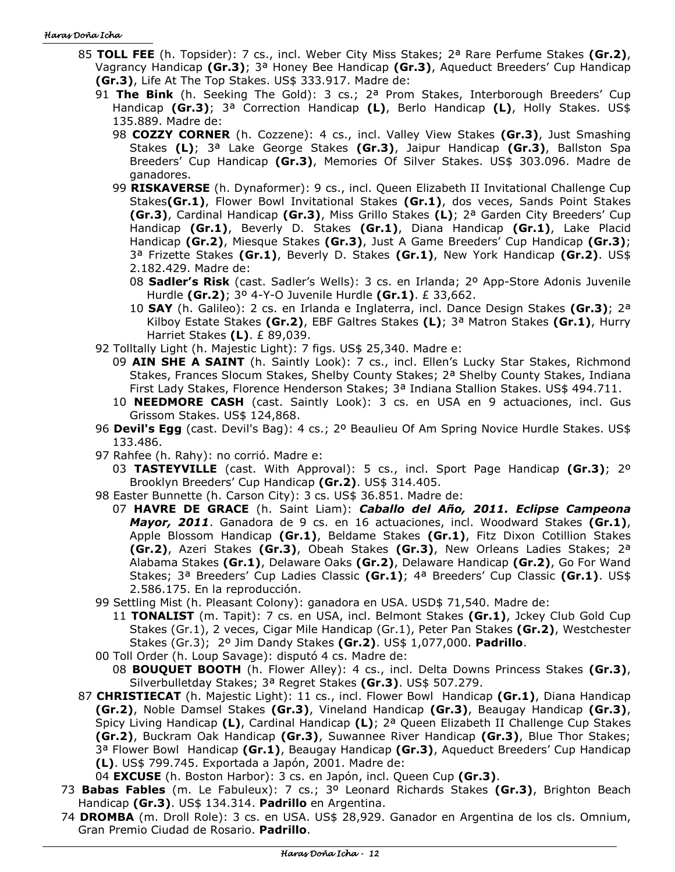- 85 **TOLL FEE** (h. Topsider): 7 cs., incl. Weber City Miss Stakes; 2ª Rare Perfume Stakes **(Gr.2)**, Vagrancy Handicap **(Gr.3)**; 3ª Honey Bee Handicap **(Gr.3)**, Aqueduct Breeders' Cup Handicap **(Gr.3)**, Life At The Top Stakes. US\$ 333.917. Madre de:
	- 91 **The Bink** (h. Seeking The Gold): 3 cs.; 2ª Prom Stakes, Interborough Breeders' Cup Handicap **(Gr.3)**; 3ª Correction Handicap **(L)**, Berlo Handicap **(L)**, Holly Stakes. US\$ 135.889. Madre de:
		- 98 **COZZY CORNER** (h. Cozzene): 4 cs., incl. Valley View Stakes **(Gr.3)**, Just Smashing Stakes **(L)**; 3ª Lake George Stakes **(Gr.3)**, Jaipur Handicap **(Gr.3)**, Ballston Spa Breeders' Cup Handicap **(Gr.3)**, Memories Of Silver Stakes. US\$ 303.096. Madre de ganadores.
		- 99 **RISKAVERSE** (h. Dynaformer): 9 cs., incl. Queen Elizabeth II Invitational Challenge Cup Stakes**(Gr.1)**, Flower Bowl Invitational Stakes **(Gr.1)**, dos veces, Sands Point Stakes **(Gr.3)**, Cardinal Handicap **(Gr.3)**, Miss Grillo Stakes **(L)**; 2ª Garden City Breeders' Cup Handicap **(Gr.1)**, Beverly D. Stakes **(Gr.1)**, Diana Handicap **(Gr.1)**, Lake Placid Handicap **(Gr.2)**, Miesque Stakes **(Gr.3)**, Just A Game Breeders' Cup Handicap **(Gr.3)**; 3ª Frizette Stakes **(Gr.1)**, Beverly D. Stakes **(Gr.1)**, New York Handicap **(Gr.2)**. US\$ 2.182.429. Madre de:
			- 08 **Sadler's Risk** (cast. Sadler's Wells): 3 cs. en Irlanda; 2º App-Store Adonis Juvenile Hurdle **(Gr.2)**; 3º 4-Y-O Juvenile Hurdle **(Gr.1)**. £ 33,662.
			- 10 **SAY** (h. Galileo): 2 cs. en Irlanda e Inglaterra, incl. Dance Design Stakes **(Gr.3)**; 2ª Kilboy Estate Stakes **(Gr.2)**, EBF Galtres Stakes **(L)**; 3ª Matron Stakes **(Gr.1)**, Hurry Harriet Stakes **(L)**. £ 89,039.
	- 92 Tolltally Light (h. Majestic Light): 7 figs. US\$ 25,340. Madre e:
		- 09 **AIN SHE A SAINT** (h. Saintly Look): 7 cs., incl. Ellen's Lucky Star Stakes, Richmond Stakes, Frances Slocum Stakes, Shelby County Stakes; 2ª Shelby County Stakes, Indiana First Lady Stakes, Florence Henderson Stakes; 3ª Indiana Stallion Stakes. US\$ 494.711.
		- 10 **NEEDMORE CASH** (cast. Saintly Look): 3 cs. en USA en 9 actuaciones, incl. Gus Grissom Stakes. US\$ 124,868.
	- 96 **Devil's Egg** (cast. Devil's Bag): 4 cs.; 2º Beaulieu Of Am Spring Novice Hurdle Stakes. US\$ 133.486.
	- 97 Rahfee (h. Rahy): no corrió. Madre e:
		- 03 **TASTEYVILLE** (cast. With Approval): 5 cs., incl. Sport Page Handicap **(Gr.3)**; 2º Brooklyn Breeders' Cup Handicap **(Gr.2)**. US\$ 314.405.
	- 98 Easter Bunnette (h. Carson City): 3 cs. US\$ 36.851. Madre de:
		- 07 **HAVRE DE GRACE** (h. Saint Liam): *Caballo del Año, 2011. Eclipse Campeona Mayor, 2011*. Ganadora de 9 cs. en 16 actuaciones, incl. Woodward Stakes **(Gr.1)**, Apple Blossom Handicap **(Gr.1)**, Beldame Stakes **(Gr.1)**, Fitz Dixon Cotillion Stakes **(Gr.2)**, Azeri Stakes **(Gr.3)**, Obeah Stakes **(Gr.3)**, New Orleans Ladies Stakes; 2ª Alabama Stakes **(Gr.1)**, Delaware Oaks **(Gr.2)**, Delaware Handicap **(Gr.2)**, Go For Wand Stakes; 3ª Breeders' Cup Ladies Classic **(Gr.1)**; 4ª Breeders' Cup Classic **(Gr.1)**. US\$ 2.586.175. En la reproducción.
	- 99 Settling Mist (h. Pleasant Colony): ganadora en USA. USD\$ 71,540. Madre de:
		- 11 **TONALIST** (m. Tapit): 7 cs. en USA, incl. Belmont Stakes **(Gr.1)**, Jckey Club Gold Cup Stakes (Gr.1), 2 veces, Cigar Mile Handicap (Gr.1), Peter Pan Stakes **(Gr.2)**, Westchester Stakes (Gr.3); 2º Jim Dandy Stakes **(Gr.2)**. US\$ 1,077,000. **Padrillo**.
	- 00 Toll Order (h. Loup Savage): disputó 4 cs. Madre de: 08 **BOUQUET BOOTH** (h. Flower Alley): 4 cs., incl. Delta Downs Princess Stakes **(Gr.3)**, Silverbulletday Stakes; 3ª Regret Stakes **(Gr.3)**. US\$ 507.279.
- 87 **CHRISTIECAT** (h. Majestic Light): 11 cs., incl. Flower Bowl Handicap **(Gr.1)**, Diana Handicap **(Gr.2)**, Noble Damsel Stakes **(Gr.3)**, Vineland Handicap **(Gr.3)**, Beaugay Handicap **(Gr.3)**, Spicy Living Handicap **(L)**, Cardinal Handicap **(L)**; 2ª Queen Elizabeth II Challenge Cup Stakes **(Gr.2)**, Buckram Oak Handicap **(Gr.3)**, Suwannee River Handicap **(Gr.3)**, Blue Thor Stakes; 3ª Flower Bowl Handicap **(Gr.1)**, Beaugay Handicap **(Gr.3)**, Aqueduct Breeders' Cup Handicap **(L)**. US\$ 799.745. Exportada a Japón, 2001. Madre de:
- 04 **EXCUSE** (h. Boston Harbor): 3 cs. en Japón, incl. Queen Cup **(Gr.3)**.
- 73 **Babas Fables** (m. Le Fabuleux): 7 cs.; 3º Leonard Richards Stakes **(Gr.3)**, Brighton Beach Handicap **(Gr.3)**. US\$ 134.314. **Padrillo** en Argentina.
- 74 **DROMBA** (m. Droll Role): 3 cs. en USA. US\$ 28,929. Ganador en Argentina de los cls. Omnium, Gran Premio Ciudad de Rosario. **Padrillo**.